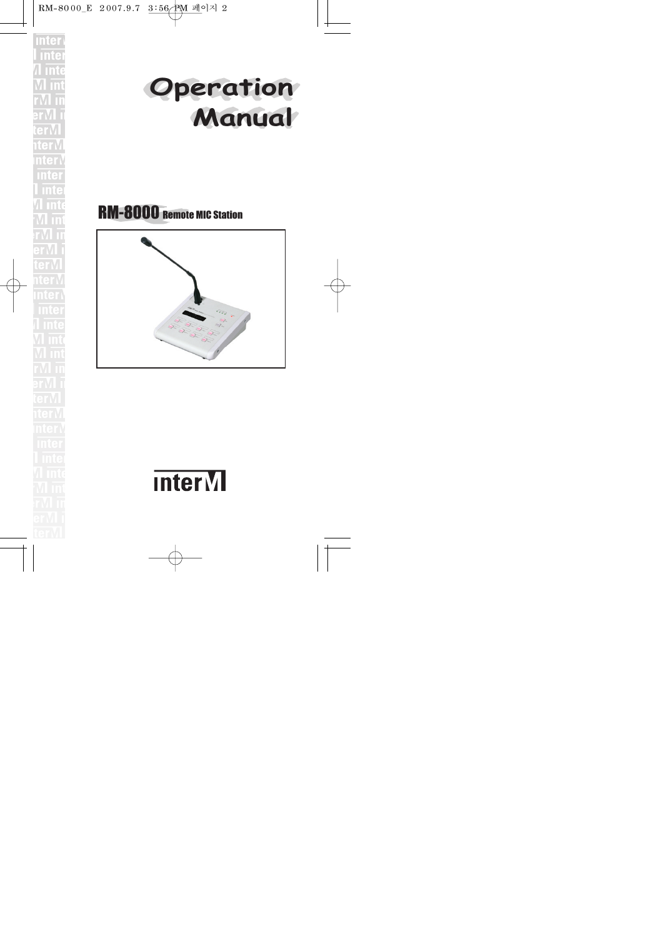



# RM-8000 Remote MIC Station



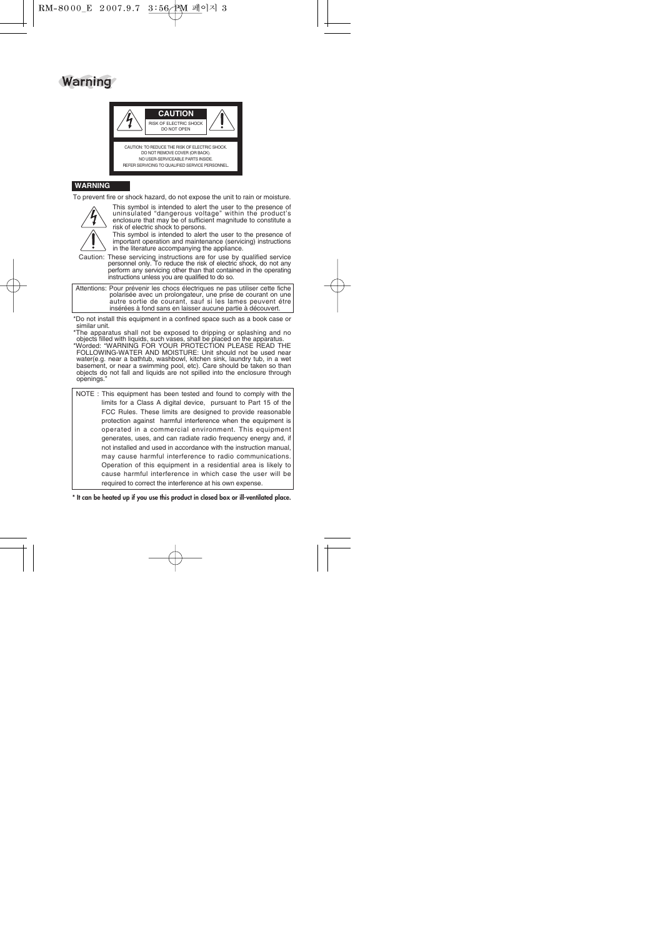



#### **WARNING**

To prevent fire or shock hazard, do not expose the unit to rain or moisture.



This symbol is intended to alert the user to the presence of uninsulated "dangerous voltage" within the product's enclosure that may be of sufficient magnitude to constitute a risk of electric shock to persons.

This symbol is intended to alert the user to the presence of important operation and maintenance (servicing) instructions in the literature accompanying the appliance.

Caution: These servicing instructions are for use by qualified service personnel only. To reduce the risk of electric shock, do not any perform any servicing other than that contained in the operating instructions unless you are qualified to do so.

Attentions: Pour prévenir les chocs électriques ne pas utiliser cette fiche polarisée avec un prolongateur, une prise de courant on une autre sortie de courant, sauf si les lames peuvent étre insérées à fond sans en laisser aucune partie à découvert.

\*Do not install this equipment in a confined space such as a book case or similar unit.

\*The apparatus shall not be exposed to dripping or splashing and no objects filled with liquids, such vases, shall be placed on the apparatus.

\*Worded: "WARNING FOR YOUR PROTECTION PLEASE READ THE FOLLOWING-WATER AND MOISTURE: Unit should not be used near water(e.g. near a bathtub, washbowl, kitchen sink, laundry tub, in a wet basement, or near a swimming pool, etc). Care should be taken so than objects do not fall and liquids are not spilled into the enclosure through openings."

NOTE : This equipment has been tested and found to comply with the limits for a Class A digital device, pursuant to Part 15 of the FCC Rules. These limits are designed to provide reasonable protection against harmful interference when the equipment is operated in a commercial environment. This equipment generates, uses, and can radiate radio frequency energy and, if not installed and used in accordance with the instruction manual, may cause harmful interference to radio communications. Operation of this equipment in a residential area is likely to cause harmful interference in which case the user will be required to correct the interference at his own expense.

**\* It can be heated up if you use this product in closed box or ill-ventilated place.**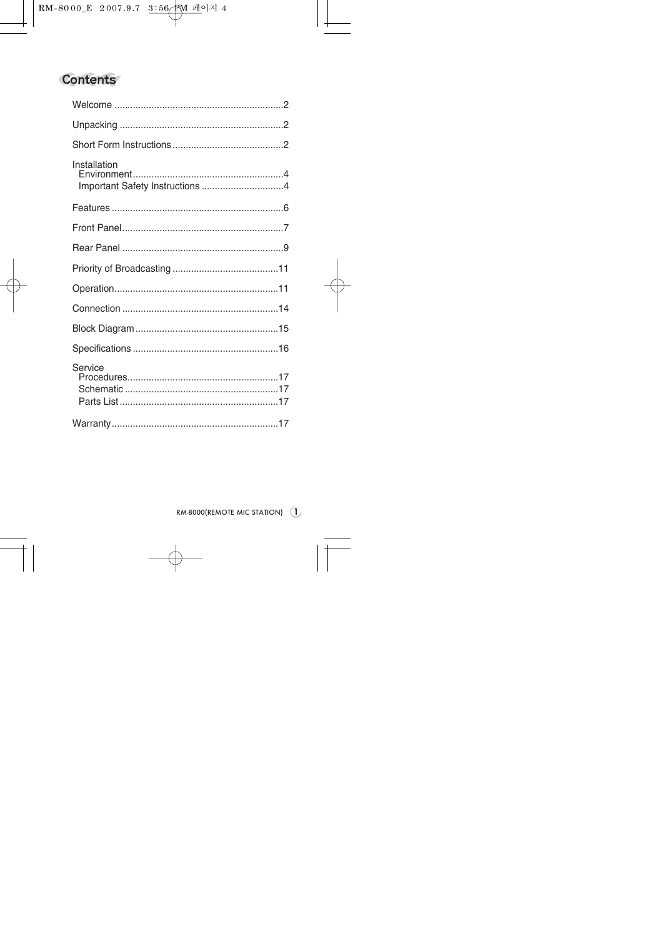# **Contents**

| Installation<br>Important Safety Instructions 4 |  |
|-------------------------------------------------|--|
|                                                 |  |
|                                                 |  |
|                                                 |  |
|                                                 |  |
|                                                 |  |
|                                                 |  |
|                                                 |  |
|                                                 |  |
| Service                                         |  |
|                                                 |  |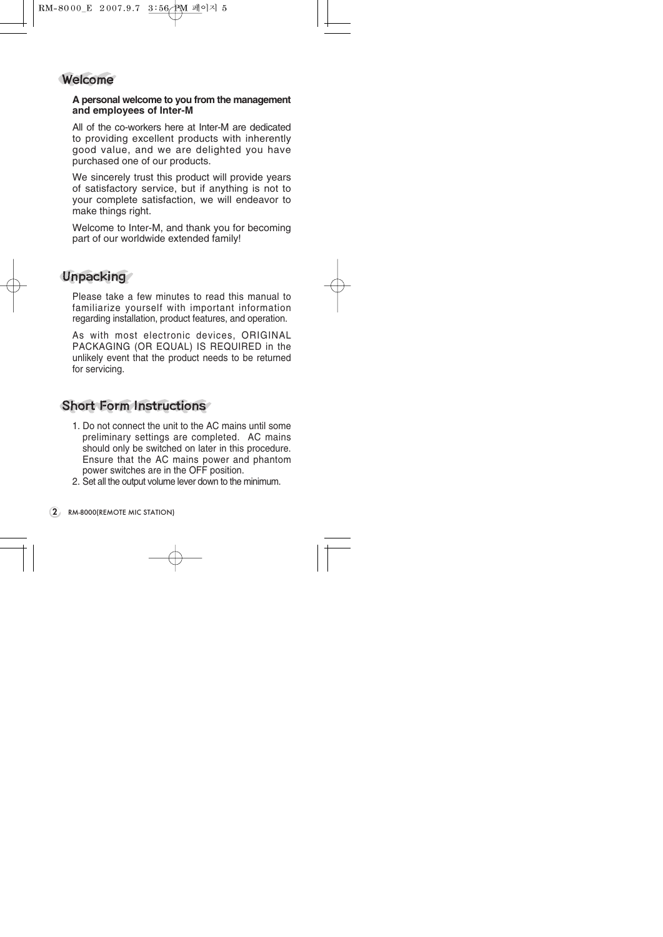

#### **A personal welcome to you from the management and employees of Inter-M**

All of the co-workers here at Inter-M are dedicated to providing excellent products with inherently good value, and we are delighted you have purchased one of our products.

We sincerely trust this product will provide years of satisfactory service, but if anything is not to your complete satisfaction, we will endeavor to make things right.

Welcome to Inter-M, and thank you for becoming part of our worldwide extended family!

## **Unpacking**

Please take a few minutes to read this manual to familiarize yourself with important information regarding installation, product features, and operation.

As with most electronic devices, ORIGINAL PACKAGING (OR EQUAL) IS REQUIRED in the unlikely event that the product needs to be returned for servicing.

## Short Form Instructions

- 1. Do not connect the unit to the AC mains until some preliminary settings are completed. AC mains should only be switched on later in this procedure. Ensure that the AC mains power and phantom power switches are in the OFF position.
- 2. Set all the output volume lever down to the minimum.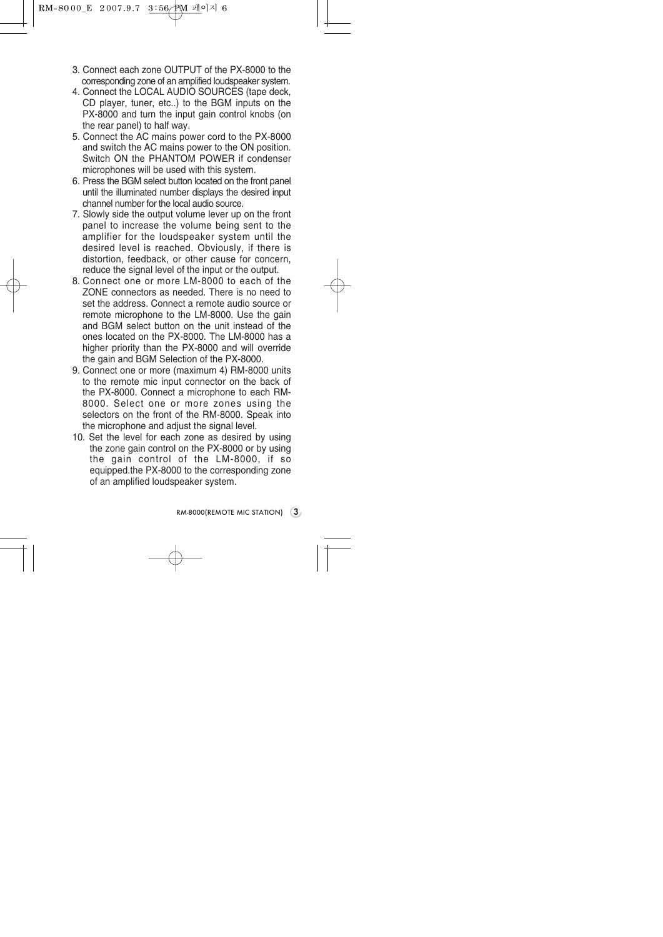- 3. Connect each zone OUTPUT of the PX-8000 to the corresponding zone of an amplified loudspeaker system.
- 4. Connect the LOCAL AUDIO SOURCES (tape deck, CD player, tuner, etc..) to the BGM inputs on the PX-8000 and turn the input gain control knobs (on the rear panel) to half way.
- 5. Connect the AC mains power cord to the PX-8000 and switch the AC mains power to the ON position. Switch ON the PHANTOM POWER if condenser microphones will be used with this system.
- 6. Press the BGM select button located on the front panel until the illuminated number displays the desired input channel number for the local audio source.
- 7. Slowly side the output volume lever up on the front panel to increase the volume being sent to the amplifier for the loudspeaker system until the desired level is reached. Obviously, if there is distortion, feedback, or other cause for concern, reduce the signal level of the input or the output.
- 8. Connect one or more LM-8000 to each of the ZONE connectors as needed. There is no need to set the address. Connect a remote audio source or remote microphone to the LM-8000. Use the gain and BGM select button on the unit instead of the ones located on the PX-8000. The LM-8000 has a higher priority than the PX-8000 and will override the gain and BGM Selection of the PX-8000.
- 9. Connect one or more (maximum 4) RM-8000 units to the remote mic input connector on the back of the PX-8000. Connect a microphone to each RM-8000. Select one or more zones using the selectors on the front of the RM-8000. Speak into the microphone and adjust the signal level.
- 10. Set the level for each zone as desired by using the zone gain control on the PX-8000 or by using the gain control of the LM-8000, if so equipped.the PX-8000 to the corresponding zone of an amplified loudspeaker system.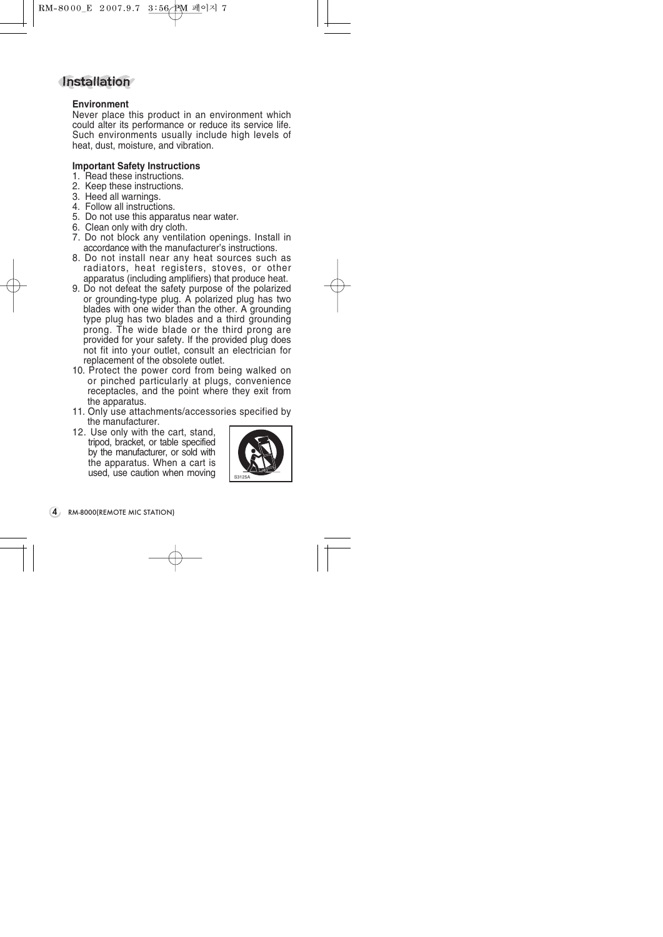## **Installation**

#### **Environment**

Never place this product in an environment which could alter its performance or reduce its service life. Such environments usually include high levels of heat, dust, moisture, and vibration.

#### **Important Safety Instructions**

- 1. Read these instructions.
- 2. Keep these instructions.
- 3. Heed all warnings.
- 4. Follow all instructions.
- 5. Do not use this apparatus near water.
- 6. Clean only with dry cloth.
- 7. Do not block any ventilation openings. Install in accordance with the manufacturer's instructions.
- 8. Do not install near any heat sources such as radiators, heat registers, stoves, or other apparatus (including amplifiers) that produce heat.
- 9. Do not defeat the safety purpose of the polarized or grounding-type plug. A polarized plug has two blades with one wider than the other. A grounding type plug has two blades and a third grounding prong. The wide blade or the third prong are provided for your safety. If the provided plug does not fit into your outlet, consult an electrician for replacement of the obsolete outlet.
- 10. Protect the power cord from being walked on or pinched particularly at plugs, convenience receptacles, and the point where they exit from the apparatus.
- 11. Only use attachments/accessories specified by the manufacturer.
- 12. Use only with the cart, stand, tripod, bracket, or table specified by the manufacturer, or sold with the apparatus. When a cart is used, use caution when moving

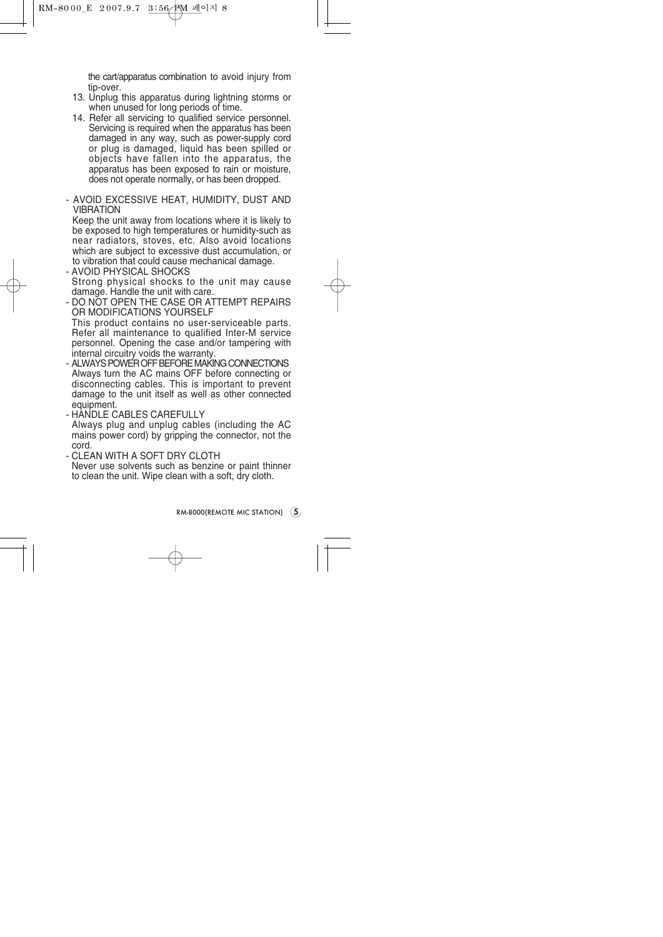the cart/apparatus combination to avoid injury from tip-over.

- 13. Unplug this apparatus during lightning storms or when unused for long periods of time.
- 14. Refer all servicing to qualified service personnel. Servicing is required when the apparatus has been damaged in any way, such as power-supply cord or plug is damaged, liquid has been spilled or objects have fallen into the apparatus, the apparatus has been exposed to rain or moisture, does not operate normally, or has been dropped.
- AVOID EXCESSIVE HEAT, HUMIDITY, DUST AND **VIBRATION**

Keep the unit away from locations where it is likely to be exposed to high temperatures or humidity-such as near radiators, stoves, etc. Also avoid locations which are subject to excessive dust accumulation, or to vibration that could cause mechanical damage.

- AVOID PHYSICAL SHOCKS Strong physical shocks to the unit may cause damage. Handle the unit with care.
- DO NOT OPEN THE CASE OR ATTEMPT REPAIRS OR MODIFICATIONS YOURSELF This product contains no user-serviceable parts. Refer all maintenance to qualified Inter-M service personnel. Opening the case and/or tampering with internal circuitry voids the warranty.
- ALWAYS POWER OFF BEFORE MAKING CONNECTIONS Always turn the AC mains OFF before connecting or disconnecting cables. This is important to prevent damage to the unit itself as well as other connected equipment.
- HANDLE CABLES CAREFULLY Always plug and unplug cables (including the AC mains power cord) by gripping the connector, not the cord.
- CLEAN WITH A SOFT DRY CLOTH Never use solvents such as benzine or paint thinner to clean the unit. Wipe clean with a soft, dry cloth.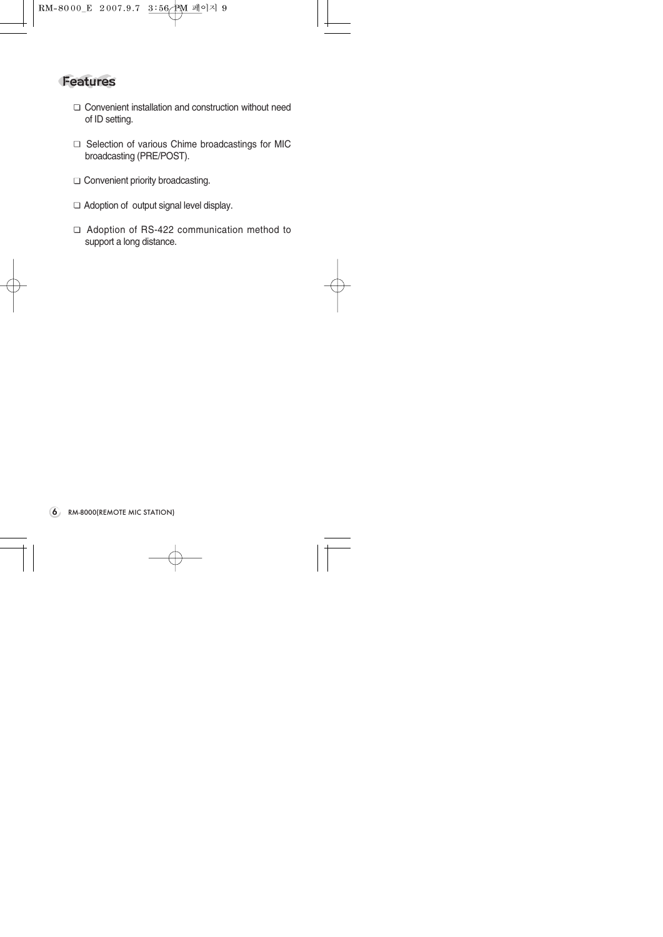## Features

- □ Convenient installation and construction without need of ID setting.
- □ Selection of various Chime broadcastings for MIC broadcasting (PRE/POST).
- □ Convenient priority broadcasting.
- $\Box$  Adoption of output signal level display.
- □ Adoption of RS-422 communication method to support a long distance.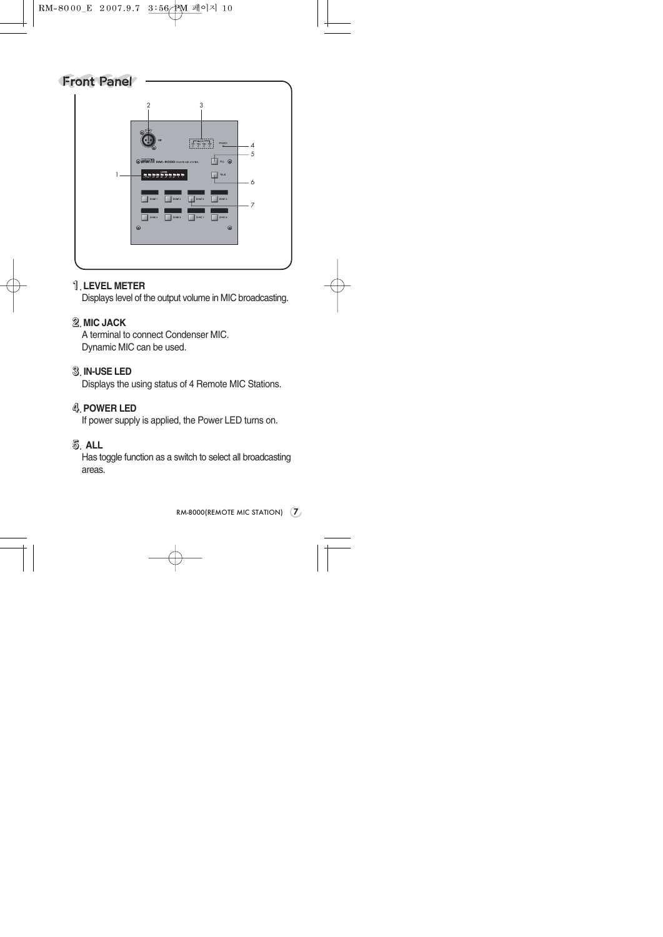

#### **1**.**LEVEL METER**

Displays level of the output volume in MIC broadcasting.

## **2**.**MIC JACK**

A terminal to connect Condenser MIC. Dynamic MIC can be used.

### **3**. **IN-USE LED**

Displays the using status of 4 Remote MIC Stations.

## **4**.**POWER LED**

If power supply is applied, the Power LED turns on.

#### **5**. **ALL**

Has toggle function as a switch to select all broadcasting areas.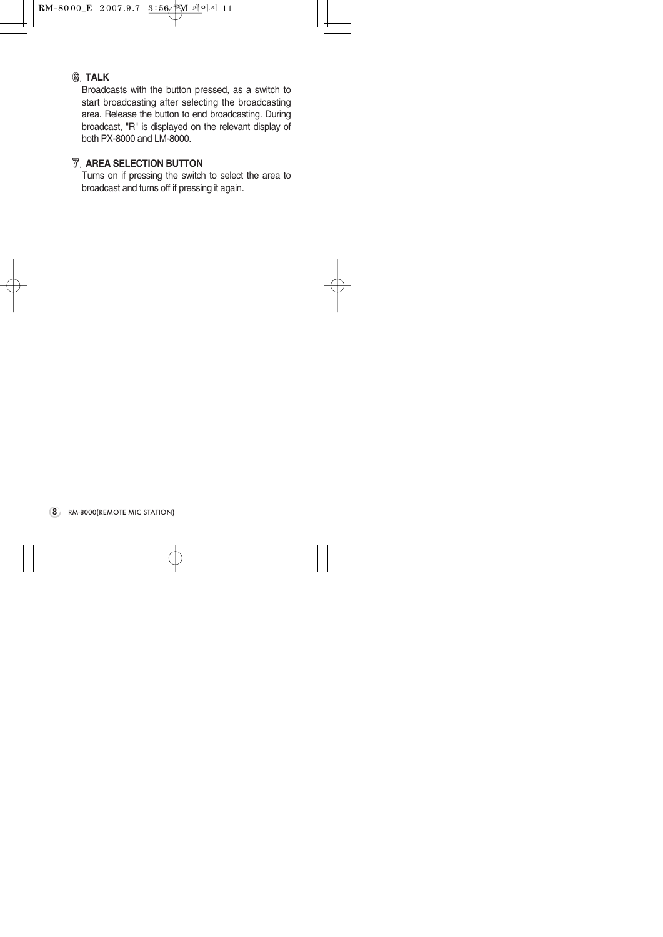

#### **6**. **TALK**

Broadcasts with the button pressed, as a switch to start broadcasting after selecting the broadcasting area. Release the button to end broadcasting. During broadcast, "R" is displayed on the relevant display of both PX-8000 and LM-8000.

#### **7**. **AREA SELECTION BUTTON**

Turns on if pressing the switch to select the area to broadcast and turns off if pressing it again.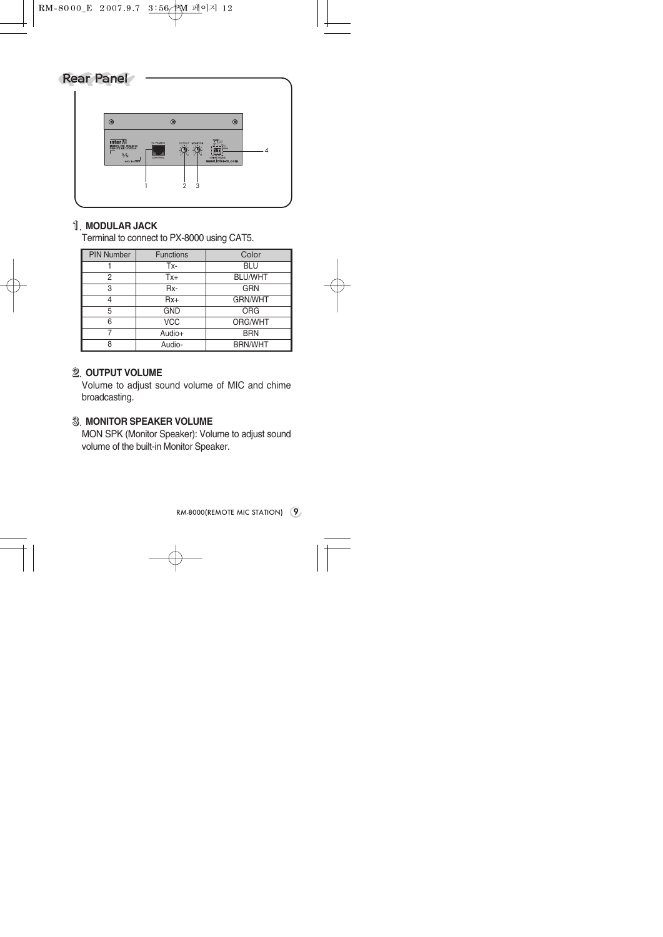# Rear Panel  $\circledR$  $\circledR$  $\circledR$ **INTER VIA**<br>MODEL NO. RM-8000<br>REMOTE NIC STATION *4* S⁄N *1 2 3*

## **1**. **MODULAR JACK**

Terminal to connect to PX-8000 using CAT5.

| <b>PIN Number</b> | <b>Functions</b> | Color          |
|-------------------|------------------|----------------|
|                   | Tx-              | <b>BLU</b>     |
| 2                 | $Tx +$           | <b>BLU/WHT</b> |
| 3                 | Rx-              | GRN            |
| 4                 | $Rx+$            | <b>GRN/WHT</b> |
| 5                 | <b>GND</b>       | <b>ORG</b>     |
| 6                 | <b>VCC</b>       | ORG/WHT        |
| 7                 | Audio+           | <b>BRN</b>     |
| 8                 | Audio-           | <b>BRN/WHT</b> |

### **2**. **OUTPUT VOLUME**

Volume to adjust sound volume of MIC and chime broadcasting.

#### **3**. **MONITOR SPEAKER VOLUME**

MON SPK (Monitor Speaker): Volume to adjust sound volume of the built-in Monitor Speaker.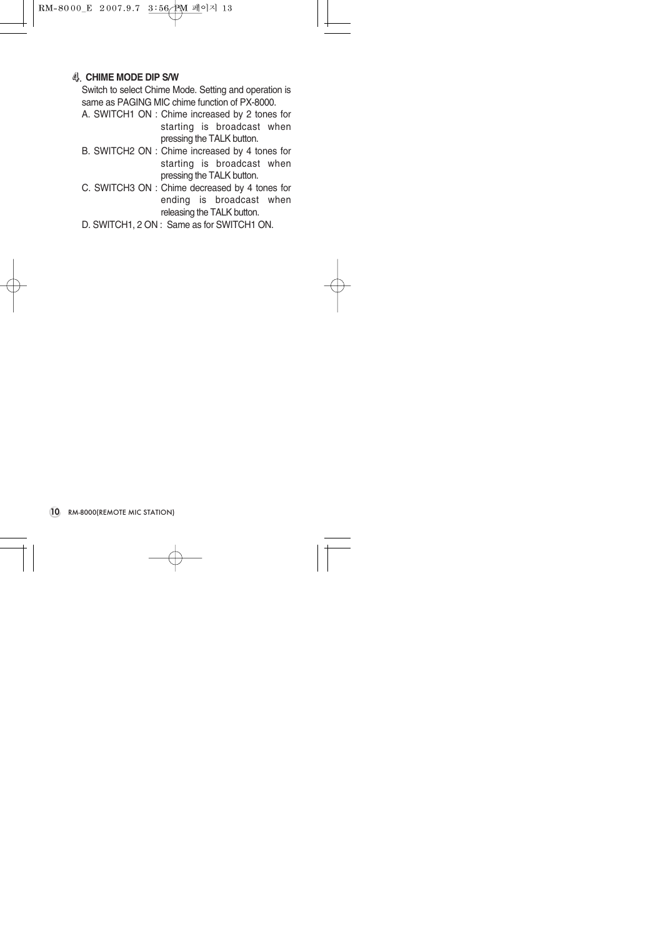#### **4**. **CHIME MODE DIP S/W**

Switch to select Chime Mode. Setting and operation is same as PAGING MIC chime function of PX-8000.

- A. SWITCH1 ON : Chime increased by 2 tones for starting is broadcast when pressing the TALK button.
- B. SWITCH2 ON : Chime increased by 4 tones for starting is broadcast when pressing the TALK button.
- C. SWITCH3 ON : Chime decreased by 4 tones for ending is broadcast when releasing the TALK button.
- D. SWITCH1, 2 ON : Same as for SWITCH1 ON.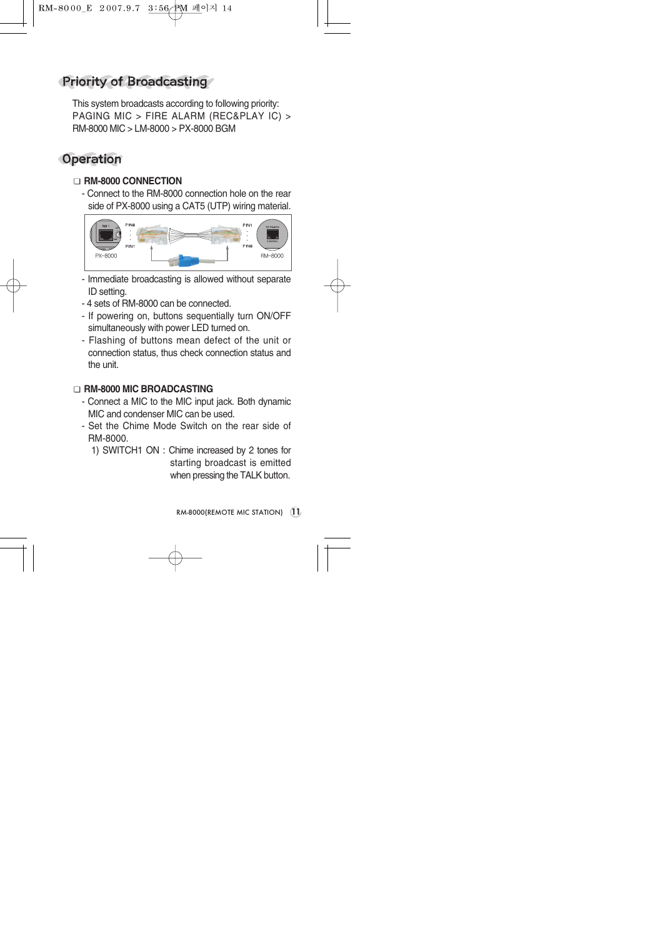# Priority of Broadcasting

This system broadcasts according to following priority: PAGING MIC > FIRE ALARM (REC&PLAY IC) > RM-8000 MIC > LM-8000 > PX-8000 BGM

## **Operation**

#### ■ **RM-8000 CONNECTION**

- Connect to the RM-8000 connection hole on the rear side of PX-8000 using a CAT5 (UTP) wiring material.



- Immediate broadcasting is allowed without separate ID setting.
- 4 sets of RM-8000 can be connected.
- If powering on, buttons sequentially turn ON/OFF simultaneously with power LED turned on.
- Flashing of buttons mean defect of the unit or connection status, thus check connection status and the unit.

#### ■ **RM-8000 MIC BROADCASTING**

- Connect a MIC to the MIC input jack. Both dynamic MIC and condenser MIC can be used.
- Set the Chime Mode Switch on the rear side of RM-8000.
	- 1) SWITCH1 ON : Chime increased by 2 tones for starting broadcast is emitted

when pressing the TALK button.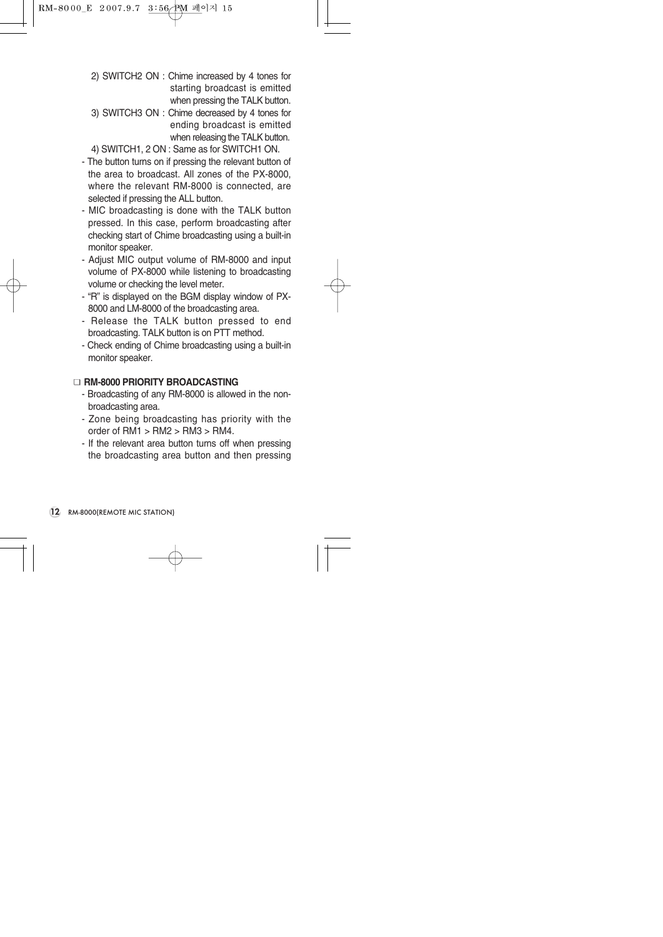- 2) SWITCH2 ON : Chime increased by 4 tones for starting broadcast is emitted when pressing the TALK button.
- 3) SWITCH3 ON : Chime decreased by 4 tones for ending broadcast is emitted when releasing the TALK button.
- 4) SWITCH1, 2 ON : Same as for SWITCH1 ON.
- The button turns on if pressing the relevant button of the area to broadcast. All zones of the PX-8000, where the relevant RM-8000 is connected, are selected if pressing the ALL button.
- MIC broadcasting is done with the TALK button pressed. In this case, perform broadcasting after checking start of Chime broadcasting using a built-in monitor speaker.
- Adjust MIC output volume of RM-8000 and input volume of PX-8000 while listening to broadcasting volume or checking the level meter.
- "R" is displayed on the BGM display window of PX-8000 and LM-8000 of the broadcasting area.
- Release the TALK button pressed to end broadcasting. TALK button is on PTT method.
- Check ending of Chime broadcasting using a built-in monitor speaker.

#### ■ **RM-8000 PRIORITY BROADCASTING**

- Broadcasting of any RM-8000 is allowed in the nonbroadcasting area.
- Zone being broadcasting has priority with the order of  $RM1 > RM2 > RM3 > RM4$ .
- If the relevant area button turns off when pressing the broadcasting area button and then pressing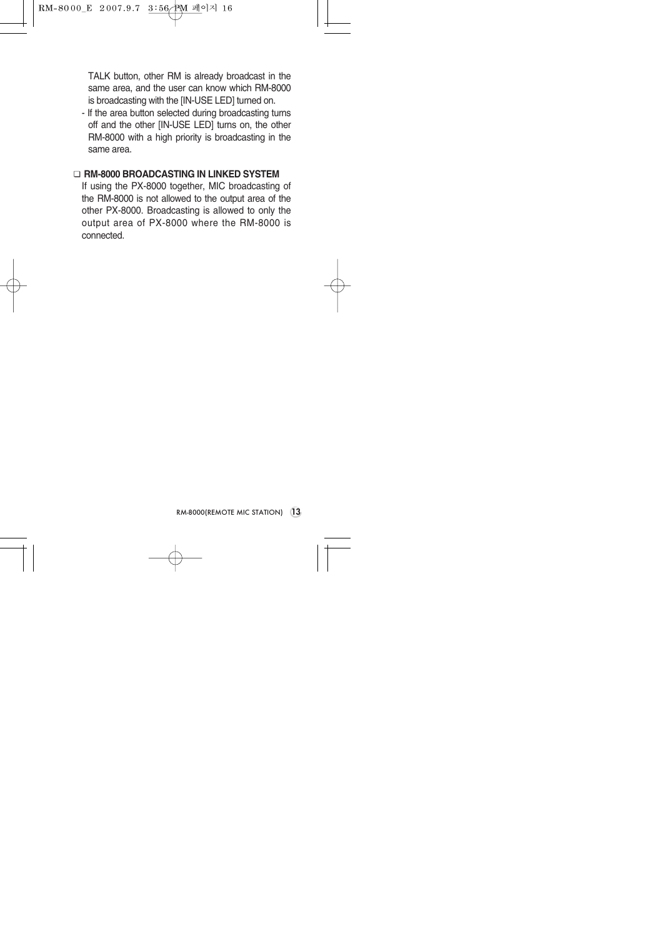TALK button, other RM is already broadcast in the same area, and the user can know which RM-8000 is broadcasting with the [IN-USE LED] turned on.

- If the area button selected during broadcasting turns off and the other [IN-USE LED] turns on, the other RM-8000 with a high priority is broadcasting in the same area.

#### ■ **RM-8000 BROADCASTING IN LINKED SYSTEM**

If using the PX-8000 together, MIC broadcasting of the RM-8000 is not allowed to the output area of the other PX-8000. Broadcasting is allowed to only the output area of PX-8000 where the RM-8000 is connected.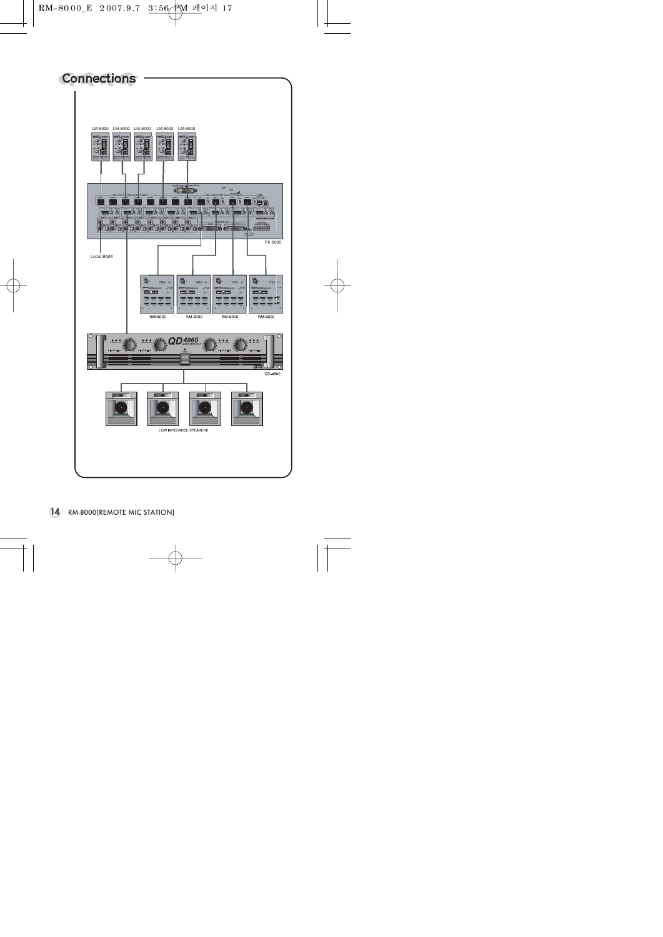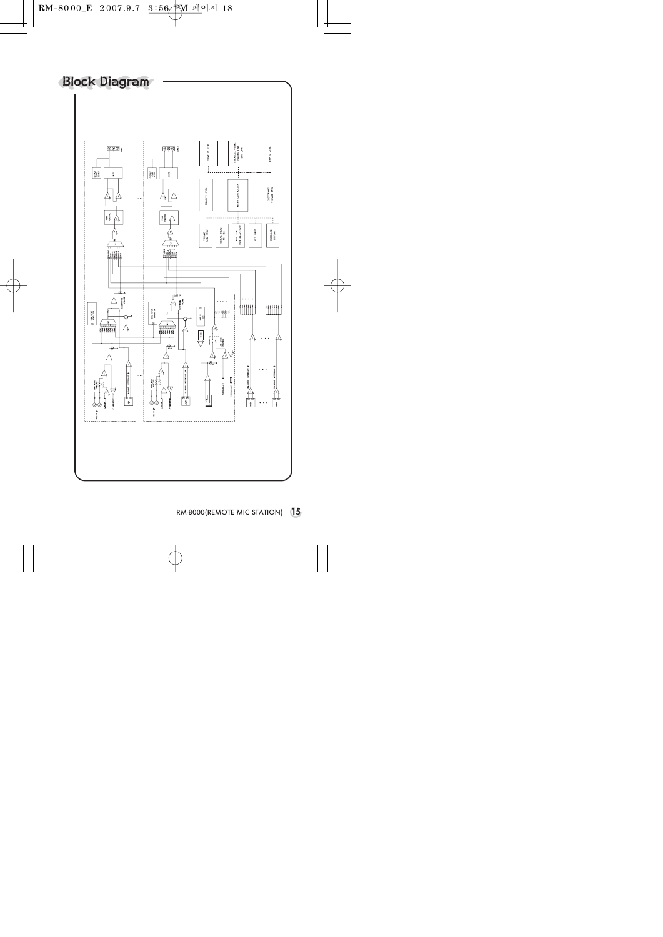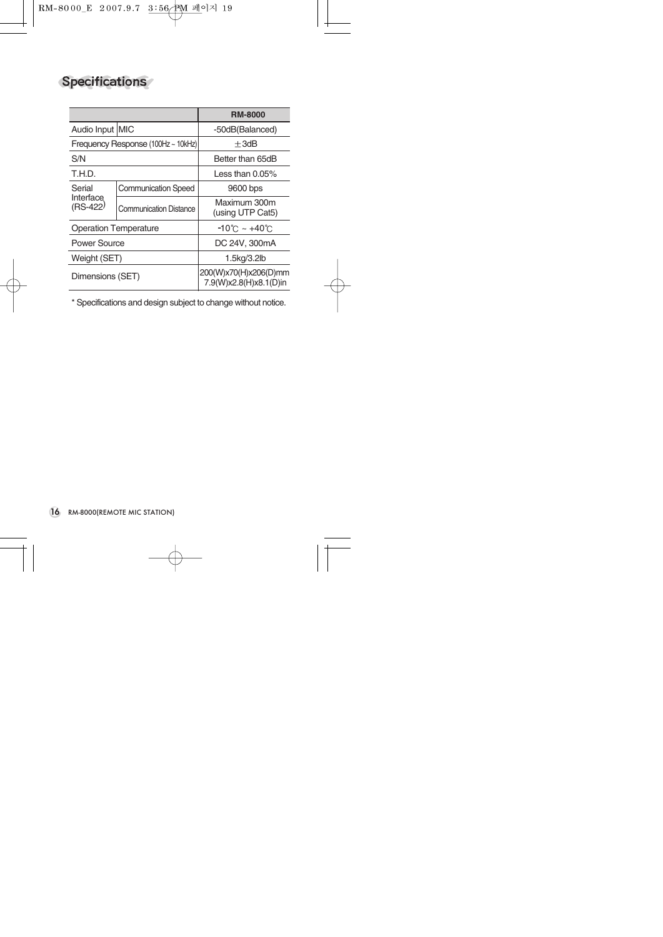# Specifications

|                                    |                               | <b>RM-8000</b>                                  |
|------------------------------------|-------------------------------|-------------------------------------------------|
| Audio Input MIC                    |                               | -50dB(Balanced)                                 |
| Frequency Response (100Hz ~ 10kHz) |                               | $+3dB$                                          |
| S/N                                |                               | Better than 65dB                                |
| T.H.D.                             |                               | Less than $0.05\%$                              |
| Serial<br>Interface<br>(RS-422)    | <b>Communication Speed</b>    | 9600 bps                                        |
|                                    | <b>Communication Distance</b> | Maximum 300m<br>(using UTP Cat5)                |
| <b>Operation Temperature</b>       |                               | $-10^{\circ}$ C ~ +40 $^{\circ}$ C              |
| <b>Power Source</b>                |                               | DC 24V, 300mA                                   |
| Weight (SET)                       |                               | 1.5kg/3.2lb                                     |
| Dimensions (SET)                   |                               | 200(W)x70(H)x206(D)mm<br>7.9(W)x2.8(H)x8.1(D)in |

\* Specifications and design subject to change without notice.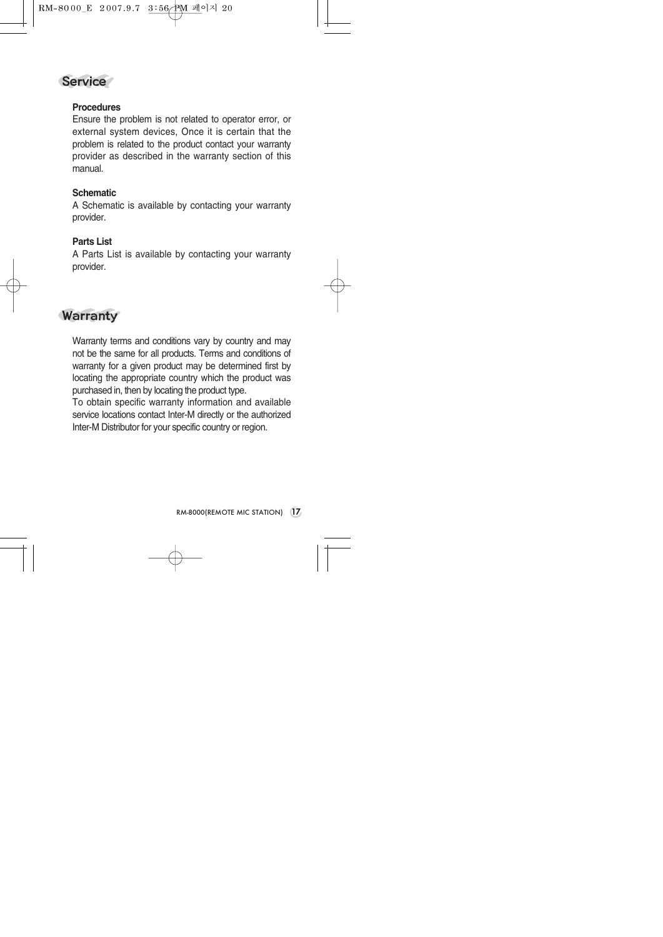

#### **Procedures**

Ensure the problem is not related to operator error, or external system devices, Once it is certain that the problem is related to the product contact your warranty provider as described in the warranty section of this manual.

#### **Schematic**

A Schematic is available by contacting your warranty provider.

#### **Parts List**

A Parts List is available by contacting your warranty provider.

## **Warranty**

Warranty terms and conditions vary by country and may not be the same for all products. Terms and conditions of warranty for a given product may be determined first by locating the appropriate country which the product was purchased in, then by locating the product type.

To obtain specific warranty information and available service locations contact Inter-M directly or the authorized Inter-M Distributor for your specific country or region.